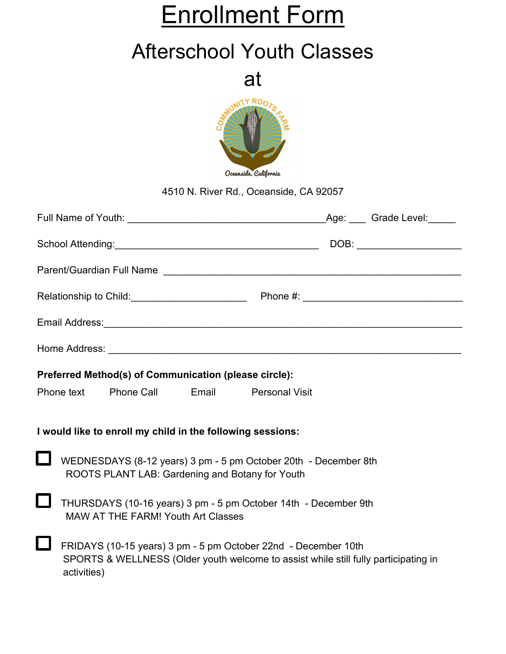# Enrollment Form

## Afterschool Youth Classes

at



4510 N. River Rd., Oceanside, CA 92057

| Preferred Method(s) of Communication (please circle):                                                              |                                                                                                                                                                      |  |  |  |  |  |
|--------------------------------------------------------------------------------------------------------------------|----------------------------------------------------------------------------------------------------------------------------------------------------------------------|--|--|--|--|--|
| Phone text Phone Call Email Personal Visit                                                                         |                                                                                                                                                                      |  |  |  |  |  |
| I would like to enroll my child in the following sessions:                                                         |                                                                                                                                                                      |  |  |  |  |  |
| WEDNESDAYS (8-12 years) 3 pm - 5 pm October 20th - December 8th<br>ROOTS PLANT LAB: Gardening and Botany for Youth |                                                                                                                                                                      |  |  |  |  |  |
|                                                                                                                    | THURSDAYS (10-16 years) 3 pm - 5 pm October 14th - December 9th<br><b>MAW AT THE FARM! Youth Art Classes</b>                                                         |  |  |  |  |  |
|                                                                                                                    | FRIDAYS (10-15 years) 3 pm - 5 pm October 22nd - December 10th<br>SPORTS & WELLNESS (Older youth welcome to assist while still fully participating in<br>activities) |  |  |  |  |  |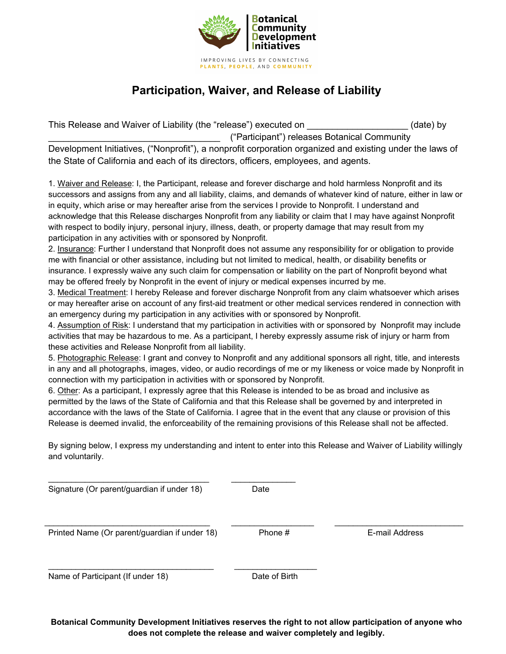

## **Participation, Waiver, and Release of Liability**

This Release and Waiver of Liability (the "release") executed on \_\_\_\_\_\_\_\_\_\_\_\_\_\_\_\_\_\_\_\_\_\_\_\_\_\_(date) by \_\_\_\_\_\_\_\_\_\_\_\_\_\_\_\_\_\_\_\_\_\_\_\_\_\_\_\_\_\_\_\_\_\_ ("Participant") releases Botanical Community Development Initiatives, ("Nonprofit"), a nonprofit corporation organized and existing under the laws of the State of California and each of its directors, officers, employees, and agents.

1. Waiver and Release: I, the Participant, release and forever discharge and hold harmless Nonprofit and its successors and assigns from any and all liability, claims, and demands of whatever kind of nature, either in law or in equity, which arise or may hereafter arise from the services I provide to Nonprofit. I understand and acknowledge that this Release discharges Nonprofit from any liability or claim that I may have against Nonprofit with respect to bodily injury, personal injury, illness, death, or property damage that may result from my participation in any activities with or sponsored by Nonprofit.

2. Insurance: Further I understand that Nonprofit does not assume any responsibility for or obligation to provide me with financial or other assistance, including but not limited to medical, health, or disability benefits or insurance. I expressly waive any such claim for compensation or liability on the part of Nonprofit beyond what may be offered freely by Nonprofit in the event of injury or medical expenses incurred by me.

3. Medical Treatment: I hereby Release and forever discharge Nonprofit from any claim whatsoever which arises or may hereafter arise on account of any first-aid treatment or other medical services rendered in connection with an emergency during my participation in any activities with or sponsored by Nonprofit.

4. Assumption of Risk: I understand that my participation in activities with or sponsored by Nonprofit may include activities that may be hazardous to me. As a participant, I hereby expressly assume risk of injury or harm from these activities and Release Nonprofit from all liability.

5. Photographic Release: I grant and convey to Nonprofit and any additional sponsors all right, title, and interests in any and all photographs, images, video, or audio recordings of me or my likeness or voice made by Nonprofit in connection with my participation in activities with or sponsored by Nonprofit.

6. Other: As a participant, I expressly agree that this Release is intended to be as broad and inclusive as permitted by the laws of the State of California and that this Release shall be governed by and interpreted in accordance with the laws of the State of California. I agree that in the event that any clause or provision of this Release is deemed invalid, the enforceability of the remaining provisions of this Release shall not be affected.

By signing below, I express my understanding and intent to enter into this Release and Waiver of Liability willingly and voluntarily.

| Signature (Or parent/guardian if under 18)    | Date          |                |
|-----------------------------------------------|---------------|----------------|
| Printed Name (Or parent/guardian if under 18) | Phone #       | E-mail Address |
| Name of Participant (If under 18)             | Date of Birth |                |

**Botanical Community Development Initiatives reserves the right to not allow participation of anyone who does not complete the release and waiver completely and legibly.**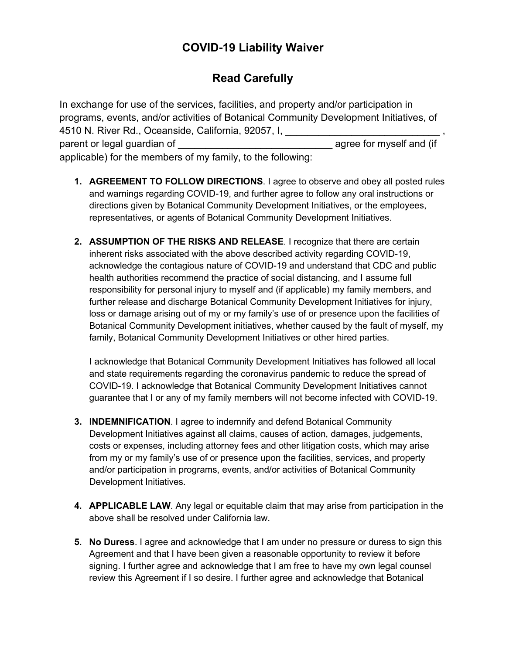### **COVID-19 Liability Waiver**

## **Read Carefully**

In exchange for use of the services, facilities, and property and/or participation in programs, events, and/or activities of Botanical Community Development Initiatives, of 4510 N. River Rd., Oceanside, California, 92057, I, parent or legal guardian of  $\overline{a}$  agree for myself and (if applicable) for the members of my family, to the following:

- **1. AGREEMENT TO FOLLOW DIRECTIONS**. I agree to observe and obey all posted rules and warnings regarding COVID-19, and further agree to follow any oral instructions or directions given by Botanical Community Development Initiatives, or the employees, representatives, or agents of Botanical Community Development Initiatives.
- **2. ASSUMPTION OF THE RISKS AND RELEASE**. I recognize that there are certain inherent risks associated with the above described activity regarding COVID-19, acknowledge the contagious nature of COVID-19 and understand that CDC and public health authorities recommend the practice of social distancing, and I assume full responsibility for personal injury to myself and (if applicable) my family members, and further release and discharge Botanical Community Development Initiatives for injury, loss or damage arising out of my or my family's use of or presence upon the facilities of Botanical Community Development initiatives, whether caused by the fault of myself, my family, Botanical Community Development Initiatives or other hired parties.

I acknowledge that Botanical Community Development Initiatives has followed all local and state requirements regarding the coronavirus pandemic to reduce the spread of COVID-19. I acknowledge that Botanical Community Development Initiatives cannot guarantee that I or any of my family members will not become infected with COVID-19.

- **3. INDEMNIFICATION**. I agree to indemnify and defend Botanical Community Development Initiatives against all claims, causes of action, damages, judgements, costs or expenses, including attorney fees and other litigation costs, which may arise from my or my family's use of or presence upon the facilities, services, and property and/or participation in programs, events, and/or activities of Botanical Community Development Initiatives.
- **4. APPLICABLE LAW**. Any legal or equitable claim that may arise from participation in the above shall be resolved under California law.
- **5. No Duress**. I agree and acknowledge that I am under no pressure or duress to sign this Agreement and that I have been given a reasonable opportunity to review it before signing. I further agree and acknowledge that I am free to have my own legal counsel review this Agreement if I so desire. I further agree and acknowledge that Botanical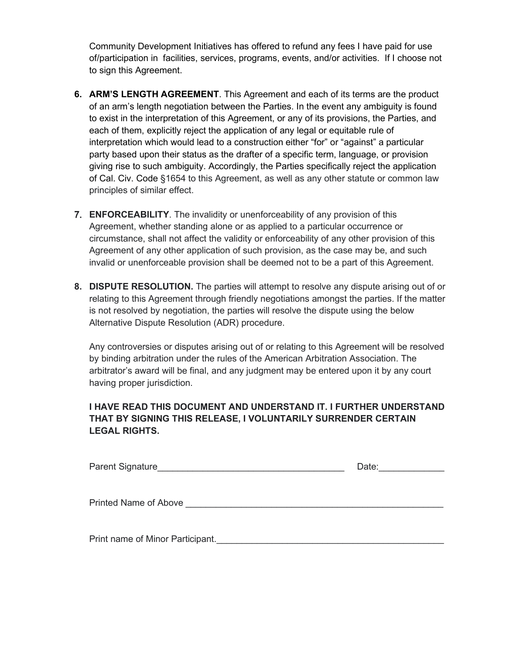Community Development Initiatives has offered to refund any fees I have paid for use of/participation in facilities, services, programs, events, and/or activities. If I choose not to sign this Agreement.

- **6. ARM'S LENGTH AGREEMENT**. This Agreement and each of its terms are the product of an arm's length negotiation between the Parties. In the event any ambiguity is found to exist in the interpretation of this Agreement, or any of its provisions, the Parties, and each of them, explicitly reject the application of any legal or equitable rule of interpretation which would lead to a construction either "for" or "against" a particular party based upon their status as the drafter of a specific term, language, or provision giving rise to such ambiguity. Accordingly, the Parties specifically reject the application of Cal. Civ. Code §1654 to this Agreement, as well as any other statute or common law principles of similar effect.
- 7. **ENFORCEABILITY**. The invalidity or unenforceability of any provision of this Agreement, whether standing alone or as applied to a particular occurrence or circumstance, shall not affect the validity or enforceability of any other provision of this Agreement of any other application of such provision, as the case may be, and such invalid or unenforceable provision shall be deemed not to be a part of this Agreement.
- **8. DISPUTE RESOLUTION.** The parties will attempt to resolve any dispute arising out of or relating to this Agreement through friendly negotiations amongst the parties. If the matter is not resolved by negotiation, the parties will resolve the dispute using the below Alternative Dispute Resolution (ADR) procedure.

Any controversies or disputes arising out of or relating to this Agreement will be resolved by binding arbitration under the rules of the American Arbitration Association. The arbitrator's award will be final, and any judgment may be entered upon it by any court having proper jurisdiction.

#### **I HAVE READ THIS DOCUMENT AND UNDERSTAND IT. I FURTHER UNDERSTAND THAT BY SIGNING THIS RELEASE, I VOLUNTARILY SURRENDER CERTAIN LEGAL RIGHTS.**

| <b>Parent Signature</b>          | Date: |
|----------------------------------|-------|
|                                  |       |
| <b>Printed Name of Above</b>     |       |
|                                  |       |
| Print name of Minor Participant. |       |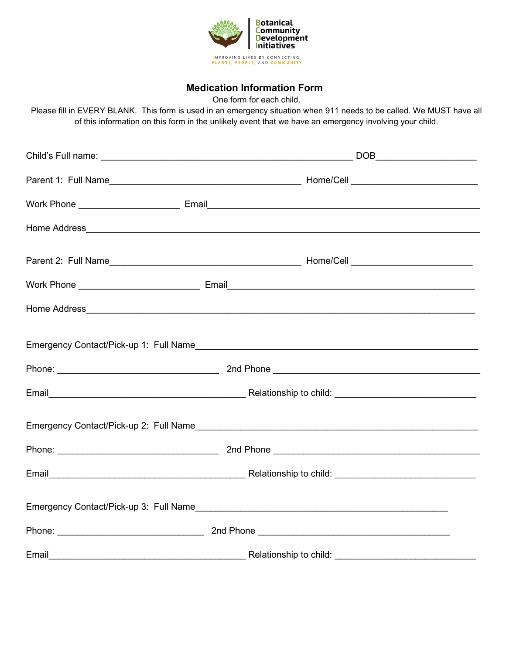

#### **Medication Information Form**

One form for each child.

Please fill in EVERY BLANK. This form is used in an emergency situation when 911 needs to be called. We MUST have all of this information on this form in the unlikely event that we have an emergency involving your child.

| Emergency Contact/Pick-up 1: Full Name |  |  |  |  |  |
|----------------------------------------|--|--|--|--|--|
|                                        |  |  |  |  |  |
|                                        |  |  |  |  |  |
|                                        |  |  |  |  |  |
|                                        |  |  |  |  |  |
|                                        |  |  |  |  |  |
|                                        |  |  |  |  |  |
|                                        |  |  |  |  |  |
| Email                                  |  |  |  |  |  |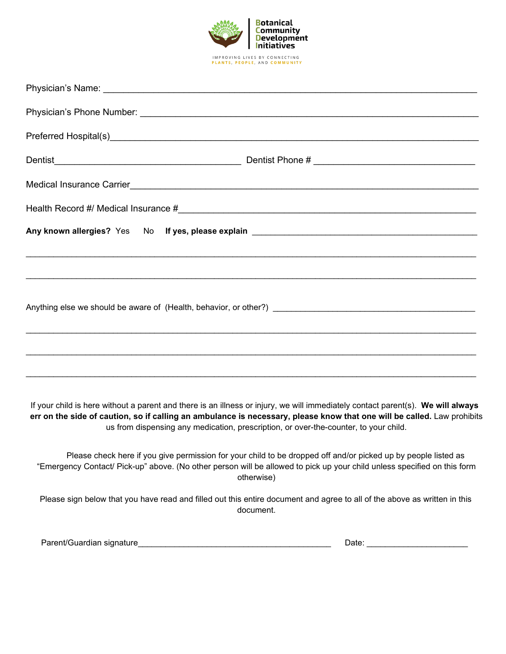

If your child is here without a parent and there is an illness or injury, we will immediately contact parent(s). **We will always err on the side of caution, so if calling an ambulance is necessary, please know that one will be called.** Law prohibits us from dispensing any medication, prescription, or over-the-counter, to your child.

 Please check here if you give permission for your child to be dropped off and/or picked up by people listed as "Emergency Contact/ Pick-up" above. (No other person will be allowed to pick up your child unless specified on this form otherwise)

Please sign below that you have read and filled out this entire document and agree to all of the above as written in this document.

Parent/Guardian signature\_\_\_\_\_\_\_\_\_\_\_\_\_\_\_\_\_\_\_\_\_\_\_\_\_\_\_\_\_\_\_\_\_\_\_\_\_\_\_\_\_\_ Date: \_\_\_\_\_\_\_\_\_\_\_\_\_\_\_\_\_\_\_\_\_\_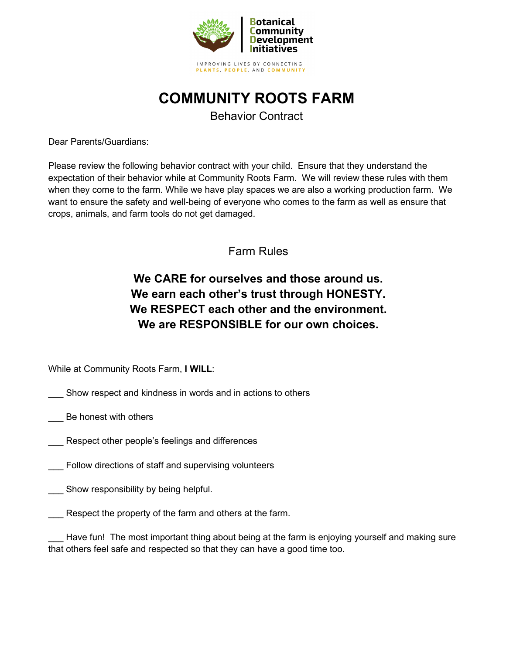

## **COMMUNITY ROOTS FARM**

Behavior Contract

Dear Parents/Guardians:

Please review the following behavior contract with your child. Ensure that they understand the expectation of their behavior while at Community Roots Farm. We will review these rules with them when they come to the farm. While we have play spaces we are also a working production farm. We want to ensure the safety and well-being of everyone who comes to the farm as well as ensure that crops, animals, and farm tools do not get damaged.

Farm Rules

## **We CARE for ourselves and those around us. We earn each other's trust through HONESTY. We RESPECT each other and the environment. We are RESPONSIBLE for our own choices.**

While at Community Roots Farm, **I WILL**:

- Show respect and kindness in words and in actions to others
- Be honest with others
- Respect other people's feelings and differences
- Follow directions of staff and supervising volunteers
- Show responsibility by being helpful.
- Respect the property of the farm and others at the farm.

Have fun! The most important thing about being at the farm is enjoying yourself and making sure that others feel safe and respected so that they can have a good time too.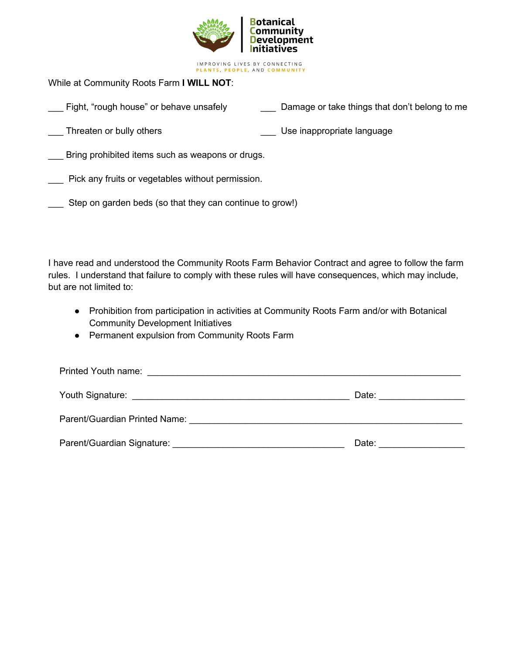

PLANTS, PEOPLE, AND COMMUNITY

While at Community Roots Farm **I WILL NOT**:

- Fight, "rough house" or behave unsafely **Damage or take things that don't belong to me**
- 

Let Threaten or bully others the state of the control of the Use inappropriate language

Bring prohibited items such as weapons or drugs.

\_\_\_ Pick any fruits or vegetables without permission.

Step on garden beds (so that they can continue to grow!)

I have read and understood the Community Roots Farm Behavior Contract and agree to follow the farm rules. I understand that failure to comply with these rules will have consequences, which may include, but are not limited to:

- Prohibition from participation in activities at Community Roots Farm and/or with Botanical Community Development Initiatives
- Permanent expulsion from Community Roots Farm

| Printed Youth name:<br><u> 1990 - Johann Stein, fransk politiker (d. 1980)</u>                                                                                                                                                |       |  |  |  |
|-------------------------------------------------------------------------------------------------------------------------------------------------------------------------------------------------------------------------------|-------|--|--|--|
|                                                                                                                                                                                                                               | Date: |  |  |  |
| Parent/Guardian Printed Name: Name: Name: Name: Name: Name: Name: Name: Name: Name: Name: Name: Name: Name: Name: Name: Name: Name: Name: Name: Name: Name: Name: Name: Name: Name: Name: Name: Name: Name: Name: Name: Name: |       |  |  |  |
| Parent/Guardian Signature: 2008 2010 2020 2021 2022 2023 2024 2022 2023 2024 2022 2023 2024 2022 2023 2024 20                                                                                                                 | Date: |  |  |  |